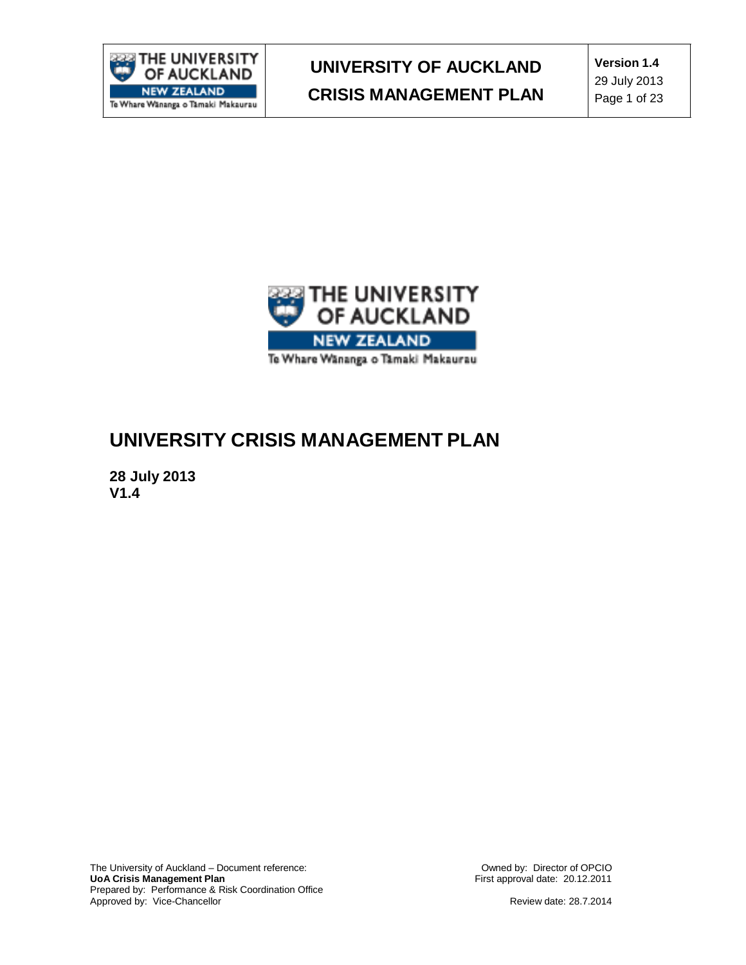

**Version 1.4** 29 July 2013 Page 1 of 23



## **UNIVERSITY CRISIS MANAGEMENT PLAN**

**28 July 2013 V1.4**

The University of Auckland – Document reference: **UoA Crisis Management Plan** Prepared by: Performance & Risk Coordination Office Approved by: Vice-Chancellor

Owned by: Director of OPCIO First approval date: 20.12.2011

Review date: 28.7.2014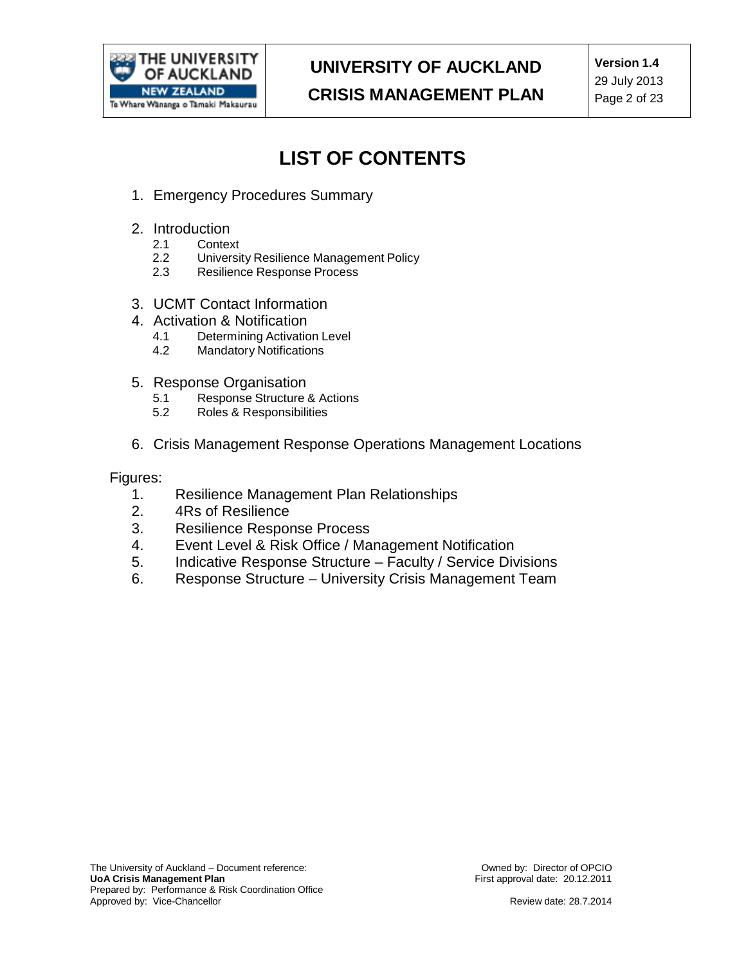

## **LIST OF CONTENTS**

- 1. Emergency Procedures Summary
- 2. Introduction
	- 2.1 Context<br>2.2 Universit
	- 2.2 University Resilience Management Policy<br>2.3 Resilience Response Process
	- Resilience Response Process
- 3. UCMT Contact Information
- 4. Activation & Notification
	- 4.1 Determining Activation Level<br>4.2 Mandatory Notifications
	- **Mandatory Notifications**
- 5. Response Organisation<br>5.1 Response Structure
	- Response Structure & Actions
	- 5.2 Roles & Responsibilities
- 6. Crisis Management Response Operations Management Locations

Figures:

- 1. Resilience Management Plan Relationships
- 2. 4Rs of Resilience
- 3. Resilience Response Process
- 4. Event Level & Risk Office / Management Notification
- 5. Indicative Response Structure Faculty / Service Divisions
- 6. Response Structure University Crisis Management Team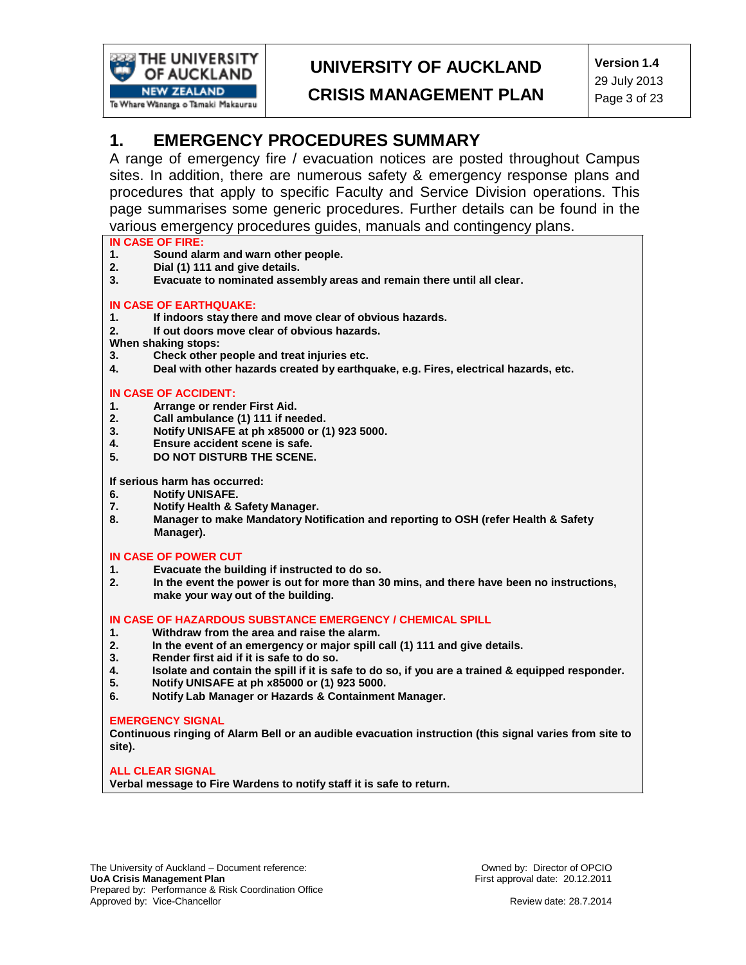

## **UNIVERSITY OF AUCKLAND**

**CRISIS MANAGEMENT PLAN**

**Version 1.4** 29 July 2013 Page 3 of 23

### **1. EMERGENCY PROCEDURES SUMMARY**

A range of emergency fire / evacuation notices are posted throughout Campus sites. In addition, there are numerous safety & emergency response plans and procedures that apply to specific Faculty and Service Division operations. This page summarises some generic procedures. Further details can be found in the various emergency procedures guides, manuals and contingency plans.

## **IN CASE OF FIRE:**

- **1. Sound alarm and warn other people.**
- **2. Dial (1) 111 and give details.**
- **3. Evacuate to nominated assembly areas and remain there until all clear.**

#### **IN CASE OF EARTHQUAKE:**

- **1. If indoors stay there and move clear of obvious hazards.**
- **2. If out doors move clear of obvious hazards.**
- **When shaking stops:**
- **3. Check other people and treat injuries etc.**
- **4. Deal with other hazards created by earthquake, e.g. Fires, electrical hazards, etc.**

#### **IN CASE OF ACCIDENT:**

- **1. Arrange or render First Aid.**
- **2. Call ambulance (1) 111 if needed.**
- **3. Notify UNISAFE at ph x85000 or (1) 923 5000.**
- **4. Ensure accident scene is safe.**
- **5. DO NOT DISTURB THE SCENE.**

**If serious harm has occurred:**

- **6. Notify UNISAFE.**
- **7. Notify Health & Safety Manager.**
- **8. Manager to make Mandatory Notification and reporting to OSH (refer Health & Safety Manager).**

#### **IN CASE OF POWER CUT**

- **1. Evacuate the building if instructed to do so.**
- **2. In the event the power is out for more than 30 mins, and there have been no instructions, make your way out of the building.**

#### **IN CASE OF HAZARDOUS SUBSTANCE EMERGENCY / CHEMICAL SPILL**

- **1. Withdraw from the area and raise the alarm.**
- **2. In the event of an emergency or major spill call (1) 111 and give details.**
- **3. Render first aid if it is safe to do so.**
- 4. Isolate and contain the spill if it is safe to do so, if you are a trained & equipped responder.<br>5. Notify UNISAFE at ph x85000 or (1) 923 5000.
- **5. Notify UNISAFE at ph x85000 or (1) 923 5000.**
- **6. Notify Lab Manager or Hazards & Containment Manager.**

#### **EMERGENCY SIGNAL**

**Continuous ringing of Alarm Bell or an audible evacuation instruction (this signal varies from site to site).**

**ALL CLEAR SIGNAL Verbal message to Fire Wardens to notify staff it is safe to return.**

The University of Auckland – Document reference: **UoA Crisis Management Plan** Prepared by: Performance & Risk Coordination Office Approved by: Vice-Chancellor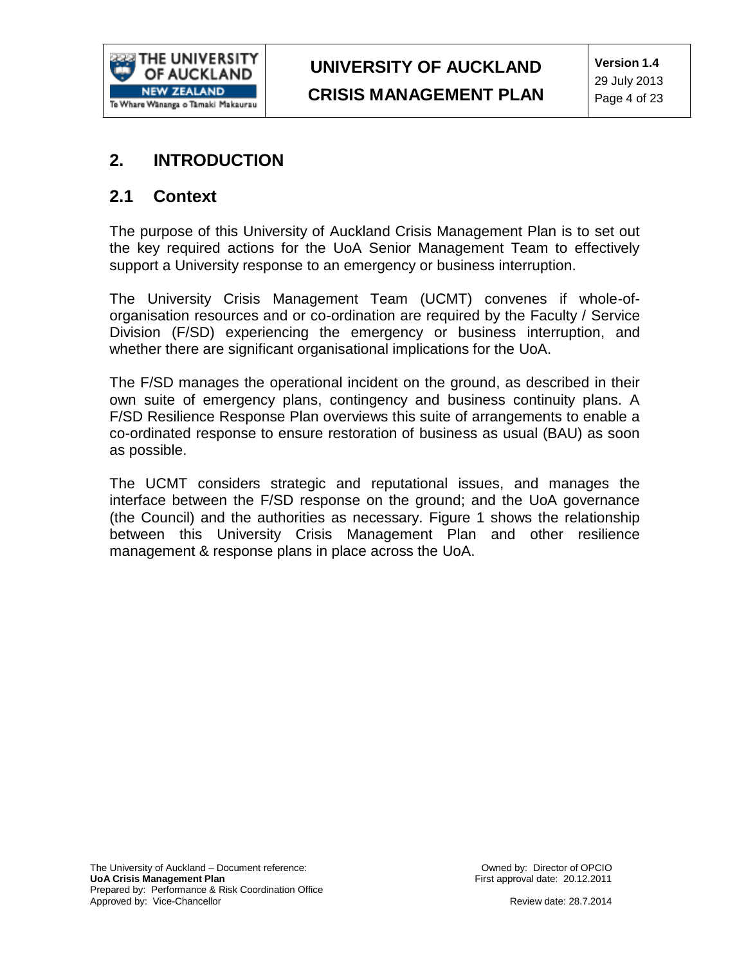

### **2. INTRODUCTION**

### **2.1 Context**

The purpose of this University of Auckland Crisis Management Plan is to set out the key required actions for the UoA Senior Management Team to effectively support a University response to an emergency or business interruption.

The University Crisis Management Team (UCMT) convenes if whole-oforganisation resources and or co-ordination are required by the Faculty / Service Division (F/SD) experiencing the emergency or business interruption, and whether there are significant organisational implications for the UoA.

The F/SD manages the operational incident on the ground, as described in their own suite of emergency plans, contingency and business continuity plans. A F/SD Resilience Response Plan overviews this suite of arrangements to enable a co-ordinated response to ensure restoration of business as usual (BAU) as soon as possible.

The UCMT considers strategic and reputational issues, and manages the interface between the F/SD response on the ground; and the UoA governance (the Council) and the authorities as necessary. Figure 1 shows the relationship between this University Crisis Management Plan and other resilience management & response plans in place across the UoA.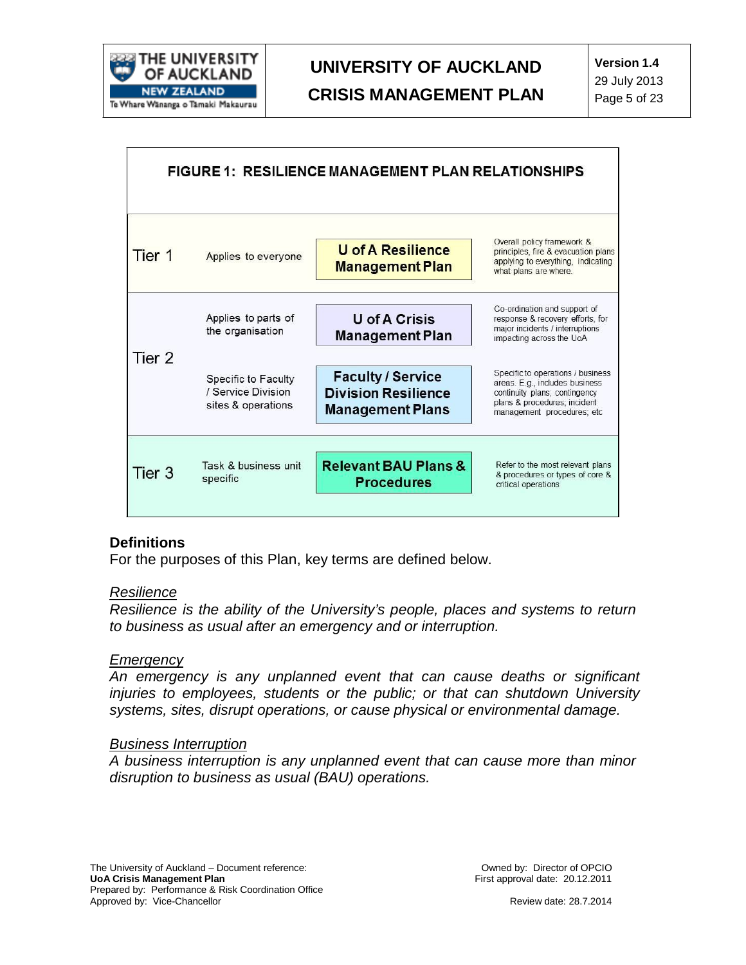

| <b>FIGURE 1: RESILIENCE MANAGEMENT PLAN RELATIONSHIPS</b> |                                                                 |                                                                                   |                                                                                                                                                                     |
|-----------------------------------------------------------|-----------------------------------------------------------------|-----------------------------------------------------------------------------------|---------------------------------------------------------------------------------------------------------------------------------------------------------------------|
| Tier 1                                                    | Applies to everyone                                             | <b>U</b> of A Resilience<br><b>Management Plan</b>                                | Overall policy framework &<br>principles, fire & evacuation plans<br>applying to everything, indicating<br>what plans are where.                                    |
|                                                           | Applies to parts of<br>the organisation                         | <b>U</b> of A Crisis<br><b>Management Plan</b>                                    | Co-ordination and support of<br>response & recovery efforts, for<br>major incidents / interruptions<br>impacting across the UoA                                     |
| Tier 2                                                    | Specific to Faculty<br>/ Service Division<br>sites & operations | <b>Faculty / Service</b><br><b>Division Resilience</b><br><b>Management Plans</b> | Specific to operations / business<br>areas. E.g., includes business<br>continuity plans; contingency<br>plans & procedures; incident<br>management procedures; etc. |
| Tier 3                                                    | Task & business unit<br>specific                                | <b>Relevant BAU Plans &amp;</b><br><b>Procedures</b>                              | Refer to the most relevant plans<br>& procedures or types of core &<br>critical operations                                                                          |

#### **Definitions**

For the purposes of this Plan, key terms are defined below.

#### *Resilience*

*Resilience is the ability of the University's people, places and systems to return to business as usual after an emergency and or interruption.*

#### *Emergency*

*An emergency is any unplanned event that can cause deaths or significant injuries to employees, students or the public; or that can shutdown University systems, sites, disrupt operations, or cause physical or environmental damage.*

#### *Business Interruption*

*A business interruption is any unplanned event that can cause more than minor disruption to business as usual (BAU) operations.*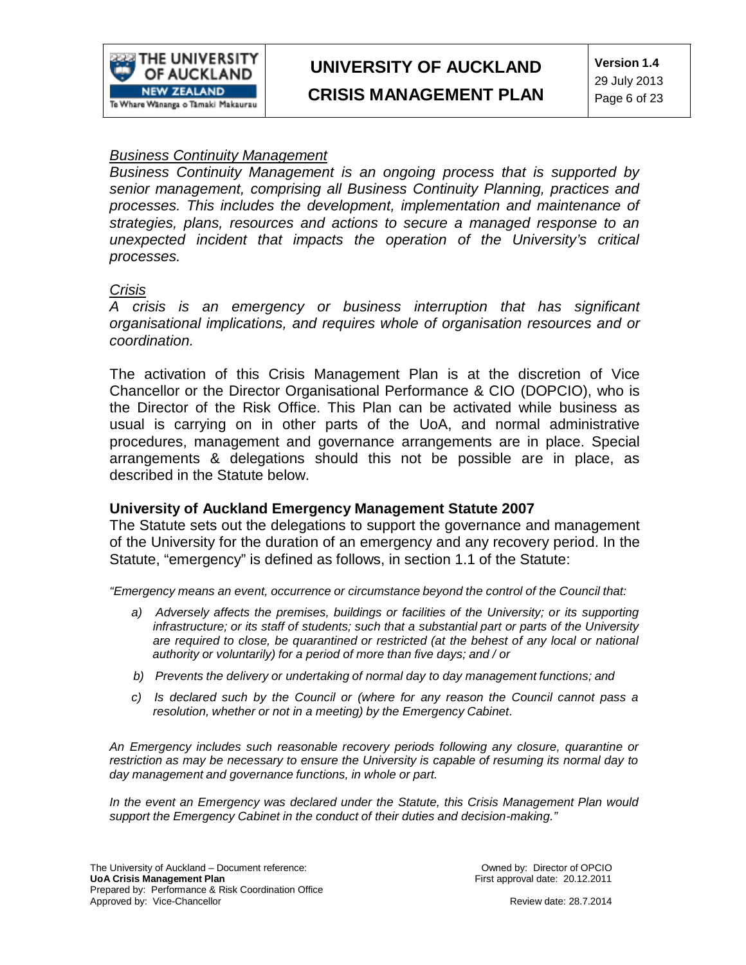

**Version 1.4** 29 July 2013 Page 6 of 23

### *Business Continuity Management*

*Business Continuity Management is an ongoing process that is supported by senior management, comprising all Business Continuity Planning, practices and processes. This includes the development, implementation and maintenance of strategies, plans, resources and actions to secure a managed response to an unexpected incident that impacts the operation of the University's critical processes.*

#### *Crisis*

*A crisis is an emergency or business interruption that has significant organisational implications, and requires whole of organisation resources and or coordination.*

The activation of this Crisis Management Plan is at the discretion of Vice Chancellor or the Director Organisational Performance & CIO (DOPCIO), who is the Director of the Risk Office. This Plan can be activated while business as usual is carrying on in other parts of the UoA, and normal administrative procedures, management and governance arrangements are in place. Special arrangements & delegations should this not be possible are in place, as described in the Statute below.

#### **University of Auckland Emergency Management Statute 2007**

The Statute sets out the delegations to support the governance and management of the University for the duration of an emergency and any recovery period. In the Statute, "emergency" is defined as follows, in section 1.1 of the Statute:

*"Emergency means an event, occurrence or circumstance beyond the control of the Council that:*

- *a) Adversely affects the premises, buildings or facilities of the University; or its supporting infrastructure; or its staff of students; such that a substantial part or parts of the University are required to close, be quarantined or restricted (at the behest of any local or national authority or voluntarily) for a period of more than five days; and / or*
- *b) Prevents the delivery or undertaking of normal day to day management functions; and*
- *c) Is declared such by the Council or (where for any reason the Council cannot pass a resolution, whether or not in a meeting) by the Emergency Cabinet.*

*An Emergency includes such reasonable recovery periods following any closure, quarantine or restriction as may be necessary to ensure the University is capable of resuming its normal day to day management and governance functions, in whole or part.*

*In the event an Emergency was declared under the Statute, this Crisis Management Plan would support the Emergency Cabinet in the conduct of their duties and decision-making."*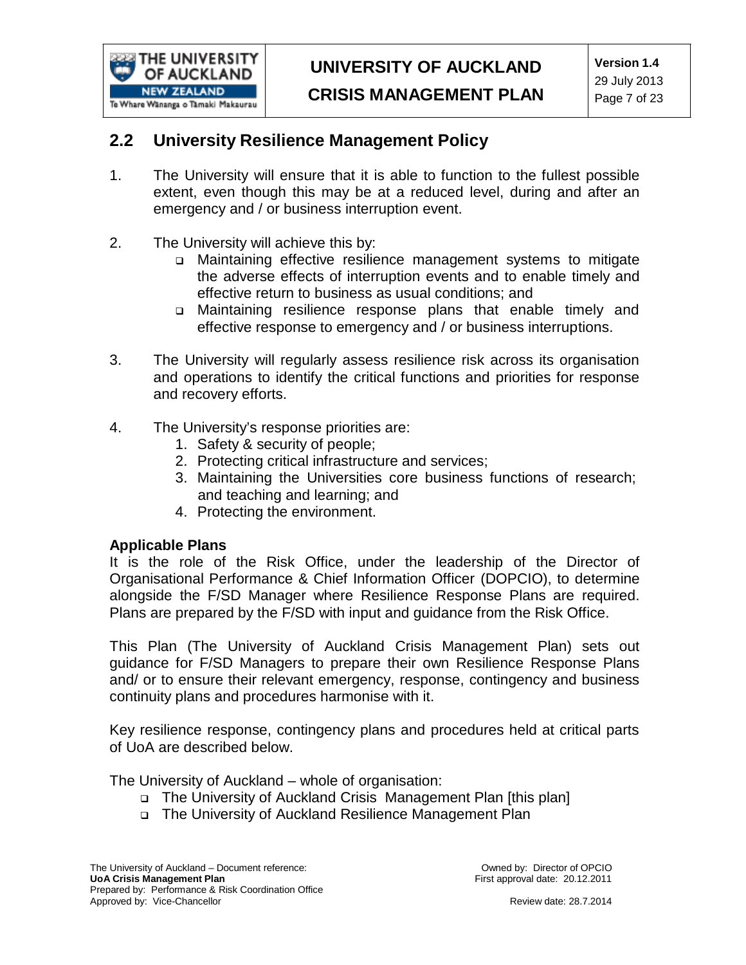

### **2.2 University Resilience Management Policy**

- 1. The University will ensure that it is able to function to the fullest possible extent, even though this may be at a reduced level, during and after an emergency and / or business interruption event.
- 2. The University will achieve this by:
	- Maintaining effective resilience management systems to mitigate the adverse effects of interruption events and to enable timely and effective return to business as usual conditions; and
	- Maintaining resilience response plans that enable timely and effective response to emergency and / or business interruptions.
- 3. The University will regularly assess resilience risk across its organisation and operations to identify the critical functions and priorities for response and recovery efforts.
- 4. The University's response priorities are:
	- 1. Safety & security of people;
	- 2. Protecting critical infrastructure and services;
	- 3. Maintaining the Universities core business functions of research; and teaching and learning; and
	- 4. Protecting the environment.

#### **Applicable Plans**

It is the role of the Risk Office, under the leadership of the Director of Organisational Performance & Chief Information Officer (DOPCIO), to determine alongside the F/SD Manager where Resilience Response Plans are required. Plans are prepared by the F/SD with input and guidance from the Risk Office.

This Plan (The University of Auckland Crisis Management Plan) sets out guidance for F/SD Managers to prepare their own Resilience Response Plans and/ or to ensure their relevant emergency, response, contingency and business continuity plans and procedures harmonise with it.

Key resilience response, contingency plans and procedures held at critical parts of UoA are described below.

The University of Auckland – whole of organisation:

- The University of Auckland Crisis Management Plan [this plan]
- The University of Auckland Resilience Management Plan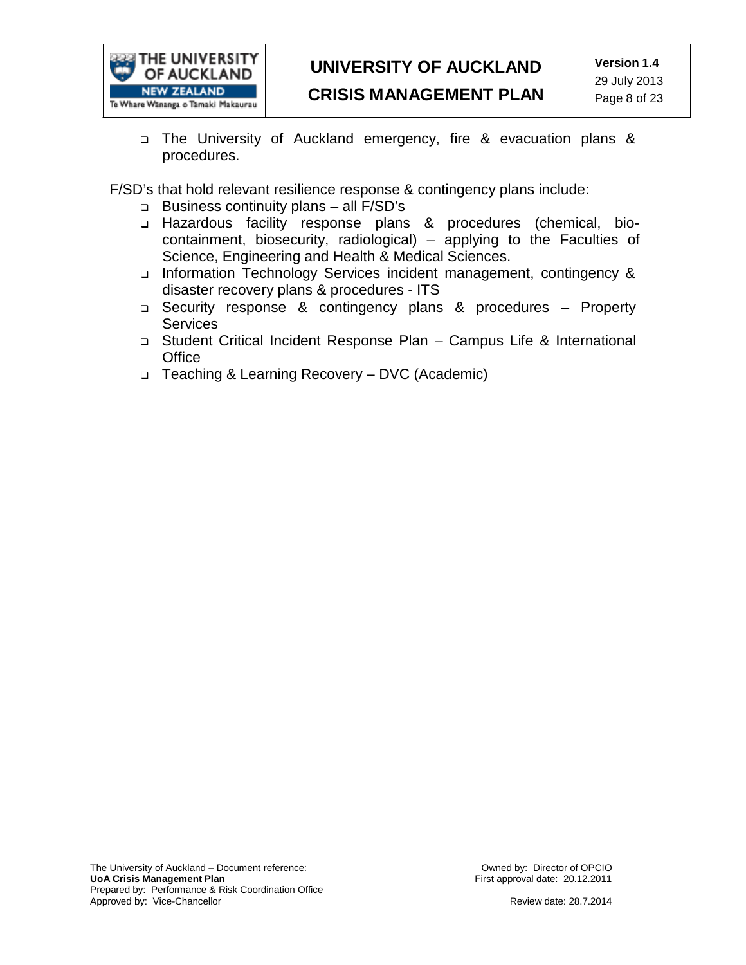

 The University of Auckland emergency, fire & evacuation plans & procedures.

F/SD's that hold relevant resilience response & contingency plans include:

- Business continuity plans all F/SD's
- Hazardous facility response plans & procedures (chemical, biocontainment, biosecurity, radiological) – applying to the Faculties of Science, Engineering and Health & Medical Sciences.
- Information Technology Services incident management, contingency & disaster recovery plans & procedures - ITS
- Security response & contingency plans & procedures Property **Services**
- Student Critical Incident Response Plan Campus Life & International **Office**
- Teaching & Learning Recovery DVC (Academic)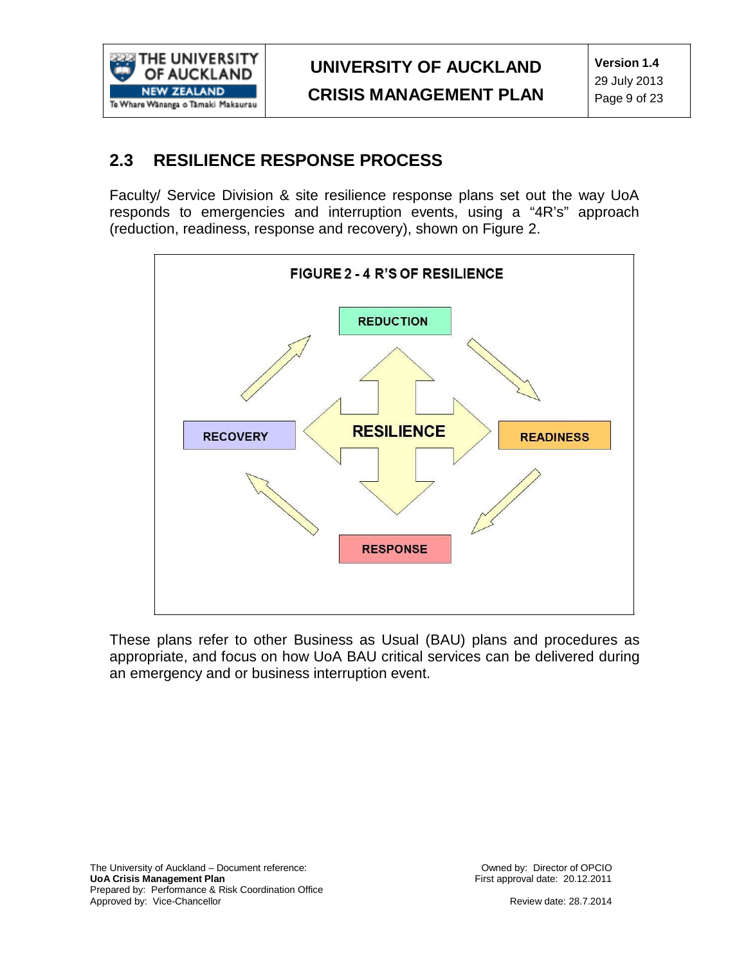

### **2.3 RESILIENCE RESPONSE PROCESS**

Faculty/ Service Division & site resilience response plans set out the way UoA responds to emergencies and interruption events, using a "4R's" approach (reduction, readiness, response and recovery), shown on Figure 2.



These plans refer to other Business as Usual (BAU) plans and procedures as appropriate, and focus on how UoA BAU critical services can be delivered during an emergency and or business interruption event.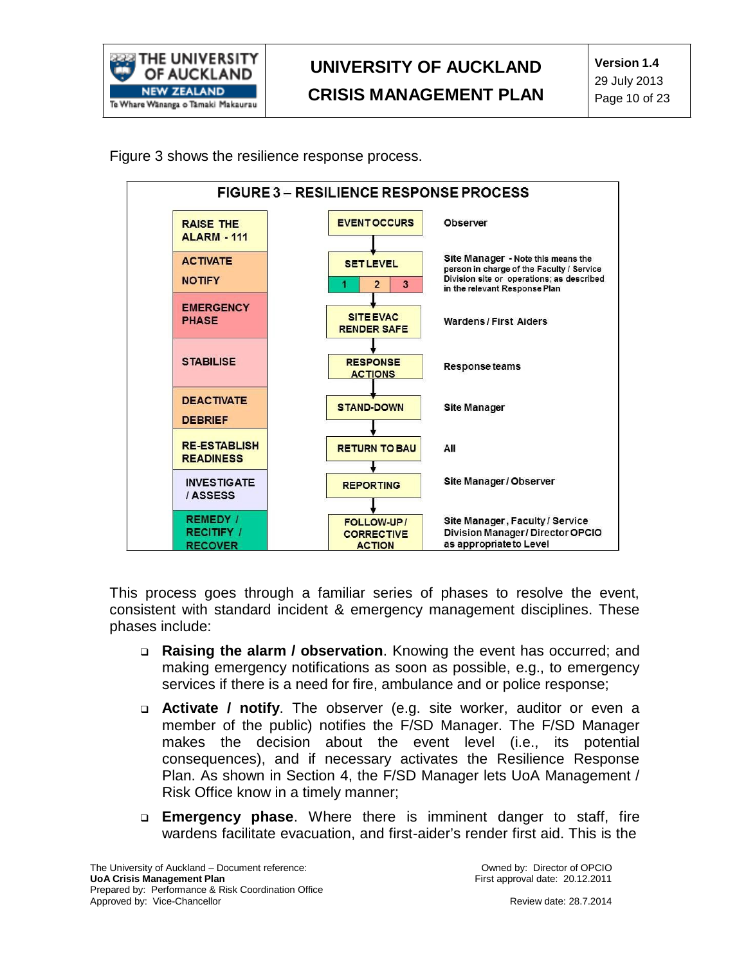

Figure 3 shows the resilience response process.



This process goes through a familiar series of phases to resolve the event, consistent with standard incident & emergency management disciplines. These phases include:

- **Raising the alarm / observation**. Knowing the event has occurred; and making emergency notifications as soon as possible, e.g., to emergency services if there is a need for fire, ambulance and or police response;
- **Activate / notify**. The observer (e.g. site worker, auditor or even a member of the public) notifies the F/SD Manager. The F/SD Manager makes the decision about the event level (i.e., its potential consequences), and if necessary activates the Resilience Response Plan. As shown in Section 4, the F/SD Manager lets UoA Management / Risk Office know in a timely manner;
- **Emergency phase**. Where there is imminent danger to staff, fire wardens facilitate evacuation, and first-aider's render first aid. This is the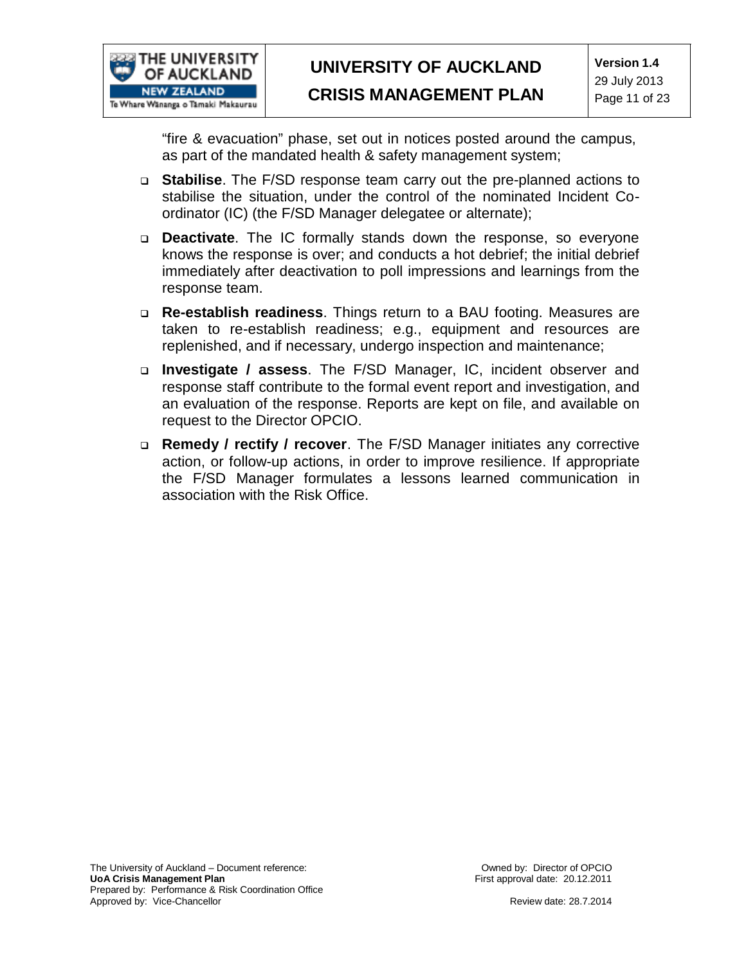

"fire & evacuation" phase, set out in notices posted around the campus, as part of the mandated health & safety management system;

- **Stabilise**. The F/SD response team carry out the pre-planned actions to stabilise the situation, under the control of the nominated Incident Coordinator (IC) (the F/SD Manager delegatee or alternate);
- **Deactivate**. The IC formally stands down the response, so everyone knows the response is over; and conducts a hot debrief; the initial debrief immediately after deactivation to poll impressions and learnings from the response team.
- **Re-establish readiness**. Things return to a BAU footing. Measures are taken to re-establish readiness; e.g., equipment and resources are replenished, and if necessary, undergo inspection and maintenance;
- **Investigate / assess**. The F/SD Manager, IC, incident observer and response staff contribute to the formal event report and investigation, and an evaluation of the response. Reports are kept on file, and available on request to the Director OPCIO.
- **Remedy / rectify / recover**. The F/SD Manager initiates any corrective action, or follow-up actions, in order to improve resilience. If appropriate the F/SD Manager formulates a lessons learned communication in association with the Risk Office.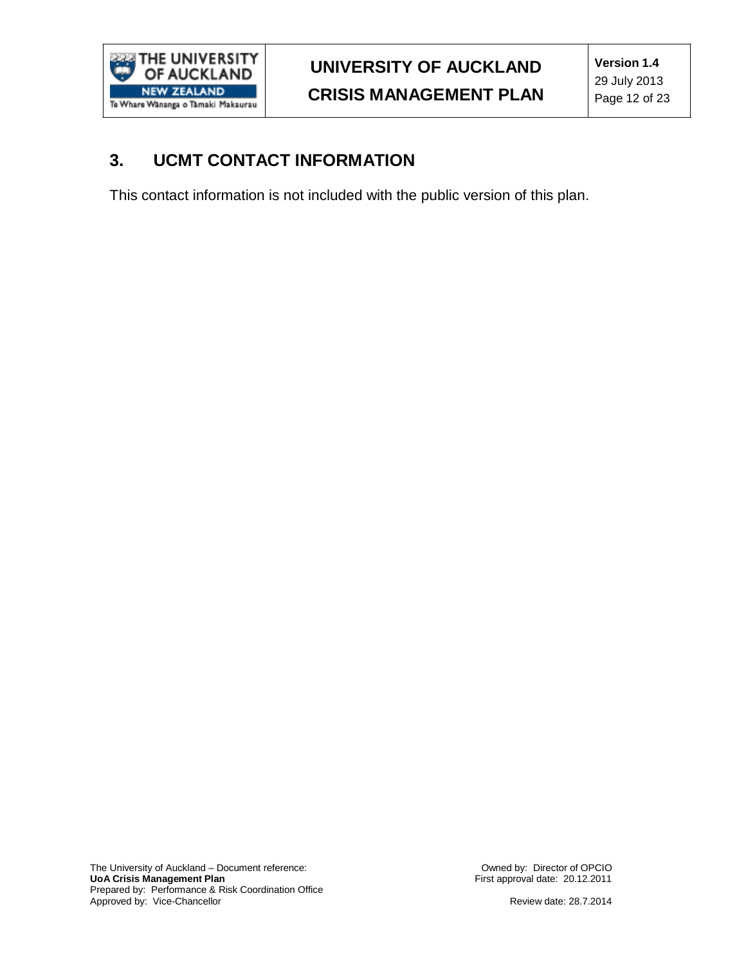

### **3. UCMT CONTACT INFORMATION**

This contact information is not included with the public version of this plan.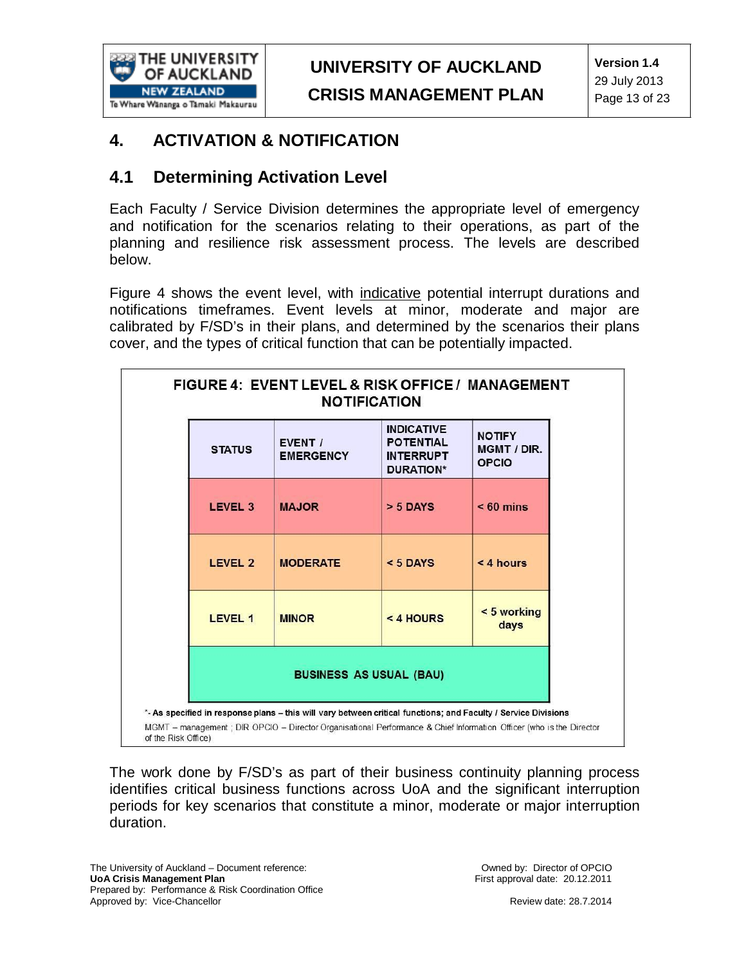

### **4. ACTIVATION & NOTIFICATION**

### **4.1 Determining Activation Level**

Each Faculty / Service Division determines the appropriate level of emergency and notification for the scenarios relating to their operations, as part of the planning and resilience risk assessment process. The levels are described below.

Figure 4 shows the event level, with indicative potential interrupt durations and notifications timeframes. Event levels at minor, moderate and major are calibrated by F/SD's in their plans, and determined by the scenarios their plans cover, and the types of critical function that can be potentially impacted.

| FIGURE 4: EVENT LEVEL & RISK OFFICE / MANAGEMENT<br><b>NOTIFICATION</b> |                    |                             |                                                                               |                                              |  |
|-------------------------------------------------------------------------|--------------------|-----------------------------|-------------------------------------------------------------------------------|----------------------------------------------|--|
|                                                                         | <b>STATUS</b>      | EVENT /<br><b>EMERGENCY</b> | <b>INDICATIVE</b><br><b>POTENTIAL</b><br><b>INTERRUPT</b><br><b>DURATION*</b> | <b>NOTIFY</b><br>MGMT / DIR.<br><b>OPCIO</b> |  |
|                                                                         | LEVEL <sub>3</sub> | <b>MAJOR</b>                | $> 5$ DAYS                                                                    | $< 60$ mins                                  |  |
|                                                                         | LEVEL 2            | <b>MODERATE</b>             | $< 5$ DAYS                                                                    | $< 4$ hours                                  |  |
|                                                                         | LEVEL 1            | <b>MINOR</b>                | $<$ 4 HOURS                                                                   | < 5 working<br>days                          |  |
| <b>BUSINESS AS USUAL (BAU)</b>                                          |                    |                             |                                                                               |                                              |  |

The work done by F/SD's as part of their business continuity planning process identifies critical business functions across UoA and the significant interruption periods for key scenarios that constitute a minor, moderate or major interruption duration.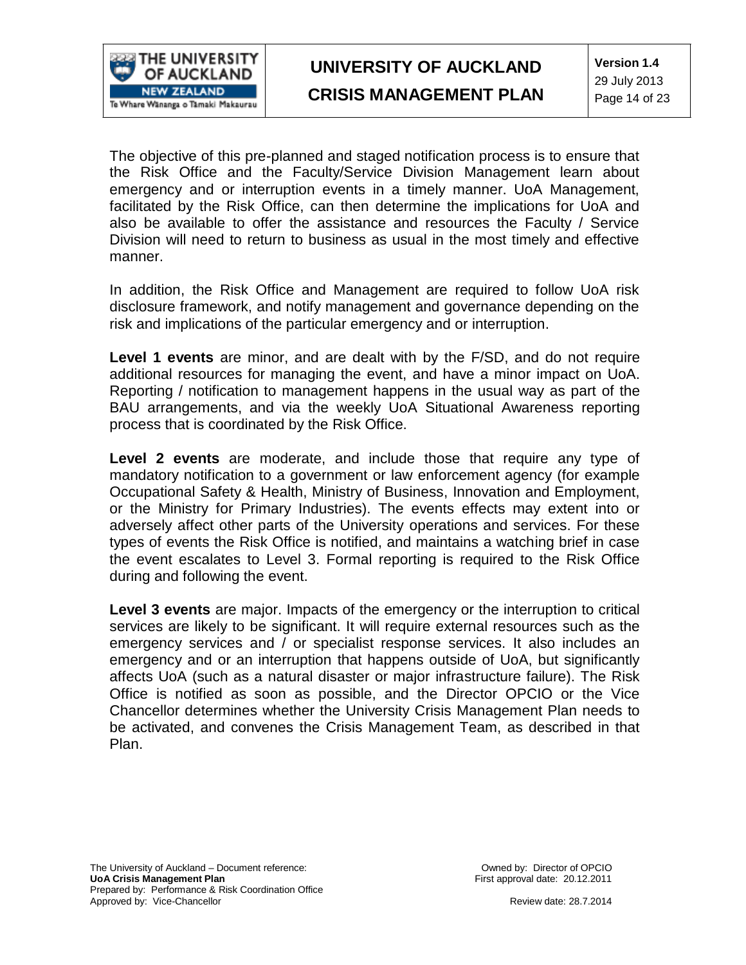

The objective of this pre-planned and staged notification process is to ensure that the Risk Office and the Faculty/Service Division Management learn about emergency and or interruption events in a timely manner. UoA Management, facilitated by the Risk Office, can then determine the implications for UoA and also be available to offer the assistance and resources the Faculty / Service Division will need to return to business as usual in the most timely and effective manner.

In addition, the Risk Office and Management are required to follow UoA risk disclosure framework, and notify management and governance depending on the risk and implications of the particular emergency and or interruption.

**Level 1 events** are minor, and are dealt with by the F/SD, and do not require additional resources for managing the event, and have a minor impact on UoA. Reporting / notification to management happens in the usual way as part of the BAU arrangements, and via the weekly UoA Situational Awareness reporting process that is coordinated by the Risk Office.

**Level 2 events** are moderate, and include those that require any type of mandatory notification to a government or law enforcement agency (for example Occupational Safety & Health, Ministry of Business, Innovation and Employment, or the Ministry for Primary Industries). The events effects may extent into or adversely affect other parts of the University operations and services. For these types of events the Risk Office is notified, and maintains a watching brief in case the event escalates to Level 3. Formal reporting is required to the Risk Office during and following the event.

**Level 3 events** are major. Impacts of the emergency or the interruption to critical services are likely to be significant. It will require external resources such as the emergency services and / or specialist response services. It also includes an emergency and or an interruption that happens outside of UoA, but significantly affects UoA (such as a natural disaster or major infrastructure failure). The Risk Office is notified as soon as possible, and the Director OPCIO or the Vice Chancellor determines whether the University Crisis Management Plan needs to be activated, and convenes the Crisis Management Team, as described in that Plan.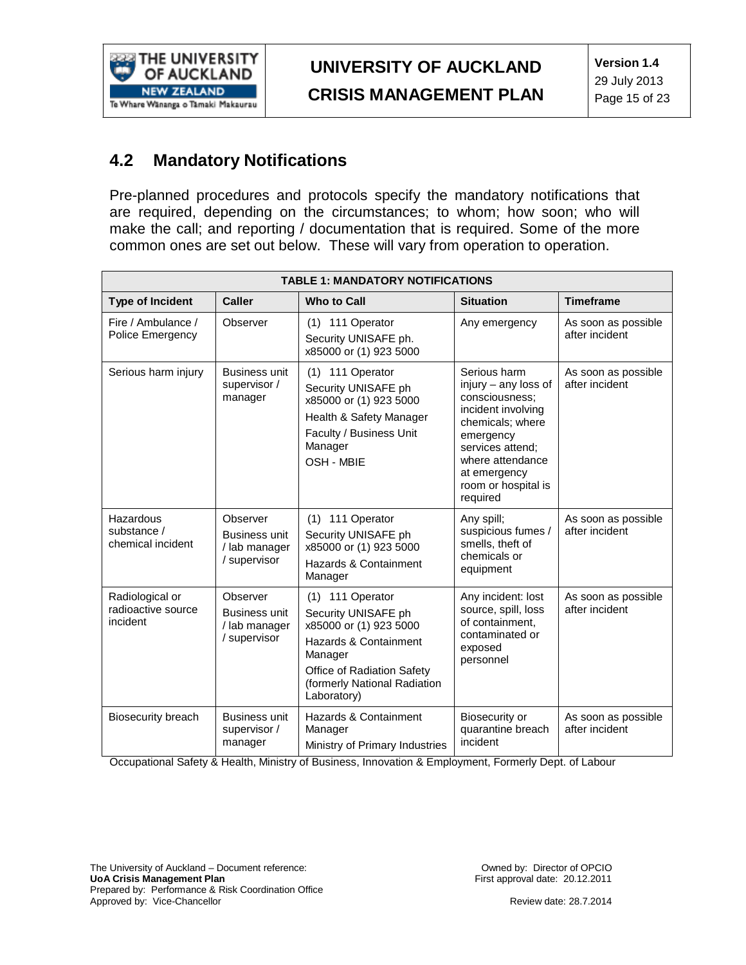

### **4.2 Mandatory Notifications**

Pre-planned procedures and protocols specify the mandatory notifications that are required, depending on the circumstances; to whom; how soon; who will make the call; and reporting / documentation that is required. Some of the more common ones are set out below. These will vary from operation to operation.

| <b>TABLE 1: MANDATORY NOTIFICATIONS</b>           |                                                                   |                                                                                                                                                                                    |                                                                                                                                                                                                          |                                       |
|---------------------------------------------------|-------------------------------------------------------------------|------------------------------------------------------------------------------------------------------------------------------------------------------------------------------------|----------------------------------------------------------------------------------------------------------------------------------------------------------------------------------------------------------|---------------------------------------|
| <b>Type of Incident</b>                           | <b>Caller</b>                                                     | <b>Who to Call</b>                                                                                                                                                                 | <b>Situation</b>                                                                                                                                                                                         | <b>Timeframe</b>                      |
| Fire / Ambulance /<br>Police Emergency            | Observer                                                          | (1) 111 Operator<br>Security UNISAFE ph.<br>x85000 or (1) 923 5000                                                                                                                 | Any emergency                                                                                                                                                                                            | As soon as possible<br>after incident |
| Serious harm injury                               | <b>Business unit</b><br>supervisor /<br>manager                   | (1) 111 Operator<br>Security UNISAFE ph<br>x85000 or (1) 923 5000<br>Health & Safety Manager<br>Faculty / Business Unit<br>Manager<br>OSH - MBIE                                   | Serious harm<br>injury - any loss of<br>consciousness;<br>incident involving<br>chemicals; where<br>emergency<br>services attend;<br>where attendance<br>at emergency<br>room or hospital is<br>required | As soon as possible<br>after incident |
| Hazardous<br>substance /<br>chemical incident     | Observer<br><b>Business unit</b><br>/ lab manager<br>/ supervisor | (1) 111 Operator<br>Security UNISAFE ph<br>x85000 or (1) 923 5000<br>Hazards & Containment<br>Manager                                                                              | Any spill;<br>suspicious fumes /<br>smells, theft of<br>chemicals or<br>equipment                                                                                                                        | As soon as possible<br>after incident |
| Radiological or<br>radioactive source<br>incident | Observer<br>Business unit<br>/ lab manager<br>/ supervisor        | (1) 111 Operator<br>Security UNISAFE ph<br>x85000 or (1) 923 5000<br>Hazards & Containment<br>Manager<br>Office of Radiation Safety<br>(formerly National Radiation<br>Laboratory) | Any incident: lost<br>source, spill, loss<br>of containment.<br>contaminated or<br>exposed<br>personnel                                                                                                  | As soon as possible<br>after incident |
| <b>Biosecurity breach</b>                         | <b>Business unit</b><br>supervisor /<br>manager                   | Hazards & Containment<br>Manager<br>Ministry of Primary Industries                                                                                                                 | Biosecurity or<br>quarantine breach<br>incident                                                                                                                                                          | As soon as possible<br>after incident |

Occupational Safety & Health, Ministry of Business, Innovation & Employment, Formerly Dept. of Labour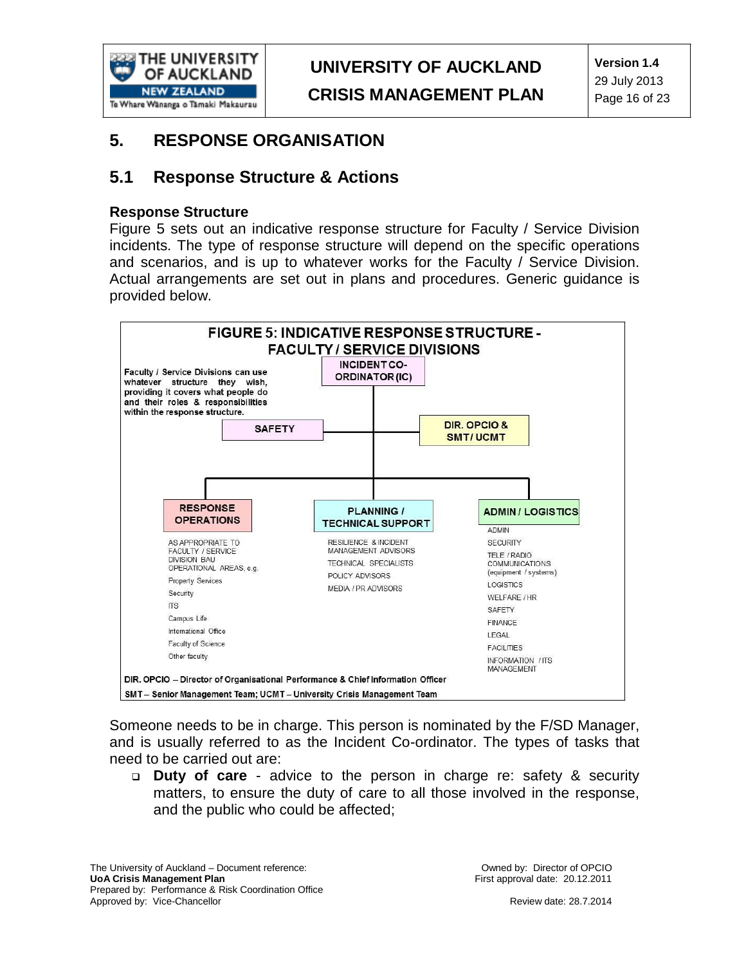

### **5. RESPONSE ORGANISATION**

### **5.1 Response Structure & Actions**

#### **Response Structure**

Figure 5 sets out an indicative response structure for Faculty / Service Division incidents. The type of response structure will depend on the specific operations and scenarios, and is up to whatever works for the Faculty / Service Division. Actual arrangements are set out in plans and procedures. Generic guidance is provided below.



Someone needs to be in charge. This person is nominated by the F/SD Manager, and is usually referred to as the Incident Co-ordinator. The types of tasks that need to be carried out are:

 **Duty of care** - advice to the person in charge re: safety & security matters, to ensure the duty of care to all those involved in the response, and the public who could be affected;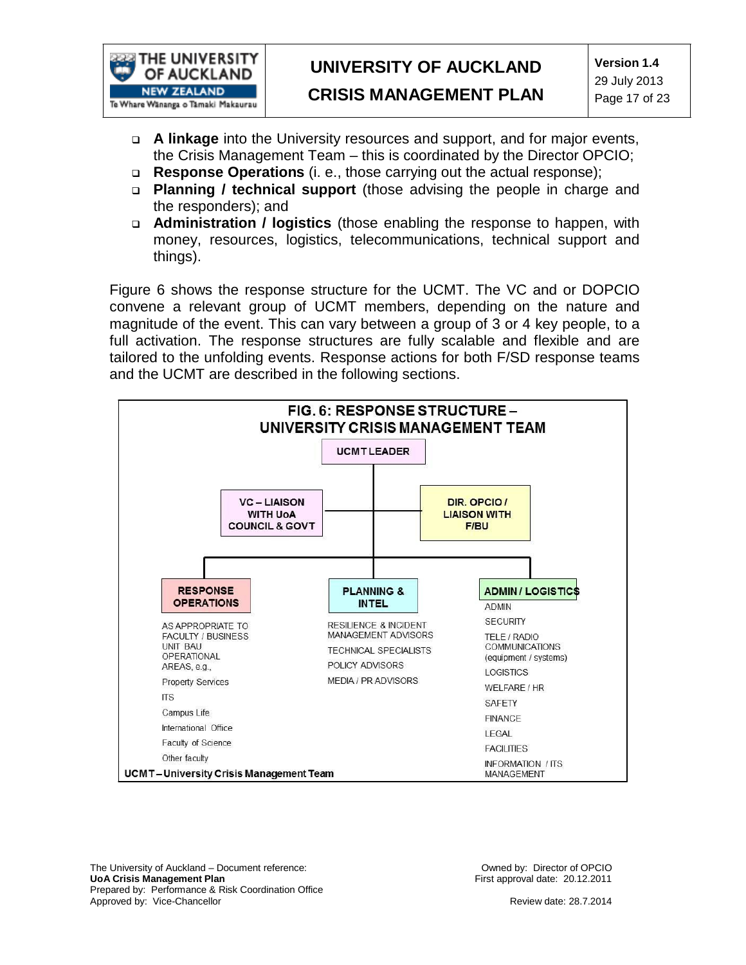

# **UNIVERSITY OF AUCKLAND**

- **CRISIS MANAGEMENT PLAN**
- **A linkage** into the University resources and support, and for major events, the Crisis Management Team – this is coordinated by the Director OPCIO;
- **Response Operations** (i. e., those carrying out the actual response);
- **Planning / technical support** (those advising the people in charge and the responders); and
- **Administration / logistics** (those enabling the response to happen, with money, resources, logistics, telecommunications, technical support and things).

Figure 6 shows the response structure for the UCMT. The VC and or DOPCIO convene a relevant group of UCMT members, depending on the nature and magnitude of the event. This can vary between a group of 3 or 4 key people, to a full activation. The response structures are fully scalable and flexible and are tailored to the unfolding events. Response actions for both F/SD response teams and the UCMT are described in the following sections.



The University of Auckland – Document reference: **UoA Crisis Management Plan** Prepared by: Performance & Risk Coordination Office Approved by: Vice-Chancellor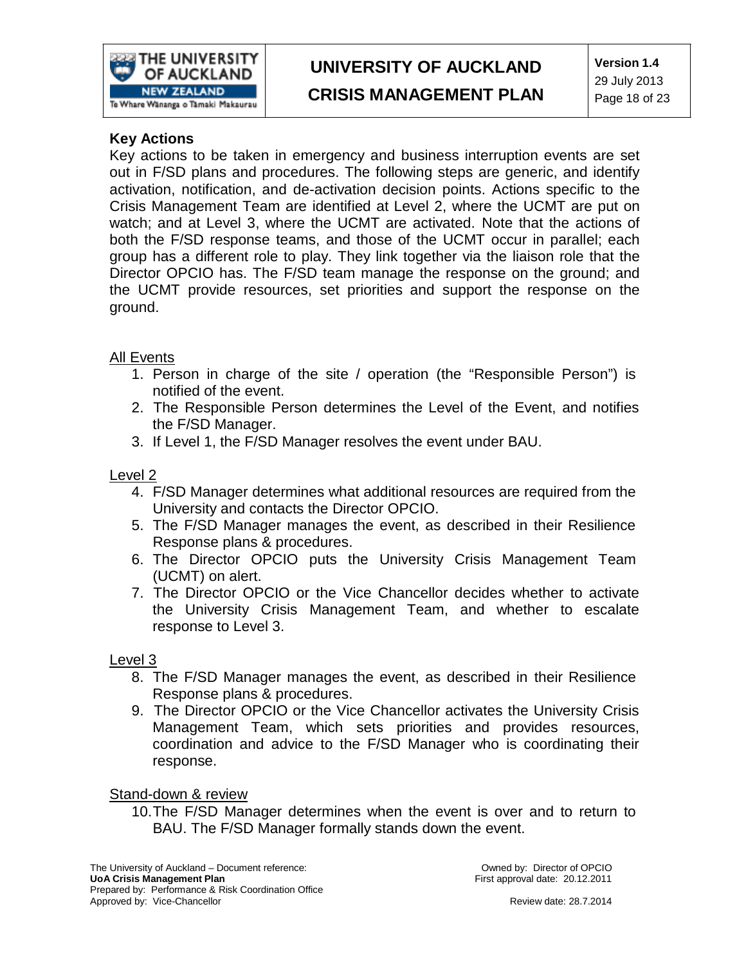

### **Key Actions**

Key actions to be taken in emergency and business interruption events are set out in F/SD plans and procedures. The following steps are generic, and identify activation, notification, and de-activation decision points. Actions specific to the Crisis Management Team are identified at Level 2, where the UCMT are put on watch; and at Level 3, where the UCMT are activated. Note that the actions of both the F/SD response teams, and those of the UCMT occur in parallel; each group has a different role to play. They link together via the liaison role that the Director OPCIO has. The F/SD team manage the response on the ground; and the UCMT provide resources, set priorities and support the response on the ground.

### All Events

- 1. Person in charge of the site / operation (the "Responsible Person") is notified of the event.
- 2. The Responsible Person determines the Level of the Event, and notifies the F/SD Manager.
- 3. If Level 1, the F/SD Manager resolves the event under BAU.

#### Level 2

- 4. F/SD Manager determines what additional resources are required from the University and contacts the Director OPCIO.
- 5. The F/SD Manager manages the event, as described in their Resilience Response plans & procedures.
- 6. The Director OPCIO puts the University Crisis Management Team (UCMT) on alert.
- 7. The Director OPCIO or the Vice Chancellor decides whether to activate the University Crisis Management Team, and whether to escalate response to Level 3.

#### Level 3

- 8. The F/SD Manager manages the event, as described in their Resilience Response plans & procedures.
- 9. The Director OPCIO or the Vice Chancellor activates the University Crisis Management Team, which sets priorities and provides resources, coordination and advice to the F/SD Manager who is coordinating their response.

#### Stand-down & review

10.The F/SD Manager determines when the event is over and to return to BAU. The F/SD Manager formally stands down the event.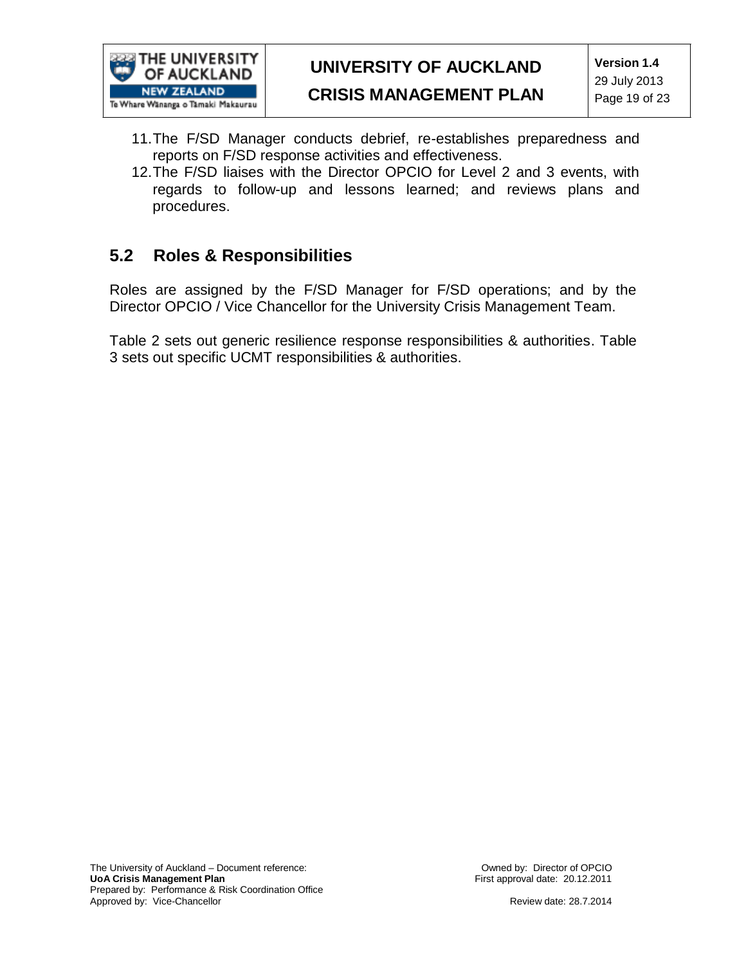

**CRISIS MANAGEMENT PLAN**

- 11.The F/SD Manager conducts debrief, re-establishes preparedness and reports on F/SD response activities and effectiveness.
- 12.The F/SD liaises with the Director OPCIO for Level 2 and 3 events, with regards to follow-up and lessons learned; and reviews plans and procedures.

### **5.2 Roles & Responsibilities**

Roles are assigned by the F/SD Manager for F/SD operations; and by the Director OPCIO / Vice Chancellor for the University Crisis Management Team.

Table 2 sets out generic resilience response responsibilities & authorities. Table 3 sets out specific UCMT responsibilities & authorities.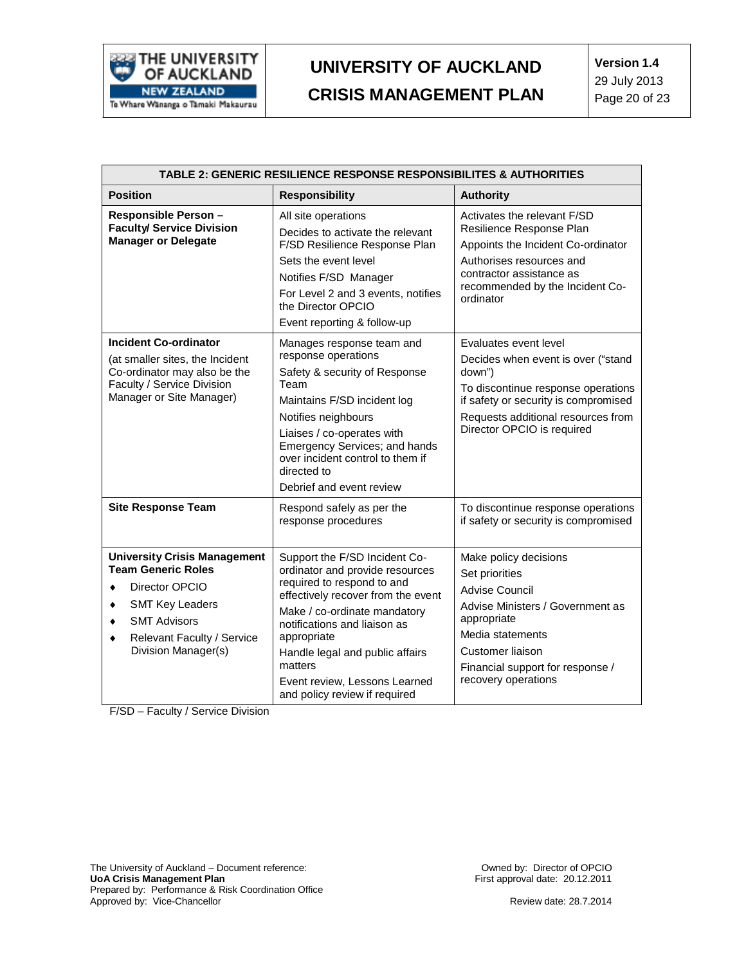

| TABLE 2: GENERIC RESILIENCE RESPONSE RESPONSIBILITES & AUTHORITIES                                                                                                                                 |                                                                                                                                                                                                                                                                                                                                     |                                                                                                                                                                                                                         |  |
|----------------------------------------------------------------------------------------------------------------------------------------------------------------------------------------------------|-------------------------------------------------------------------------------------------------------------------------------------------------------------------------------------------------------------------------------------------------------------------------------------------------------------------------------------|-------------------------------------------------------------------------------------------------------------------------------------------------------------------------------------------------------------------------|--|
| <b>Position</b>                                                                                                                                                                                    | <b>Responsibility</b>                                                                                                                                                                                                                                                                                                               | <b>Authority</b>                                                                                                                                                                                                        |  |
| Responsible Person -<br><b>Faculty/ Service Division</b><br><b>Manager or Delegate</b>                                                                                                             | All site operations<br>Decides to activate the relevant<br>F/SD Resilience Response Plan<br>Sets the event level<br>Notifies F/SD Manager<br>For Level 2 and 3 events, notifies<br>the Director OPCIO<br>Event reporting & follow-up                                                                                                | Activates the relevant F/SD<br>Resilience Response Plan<br>Appoints the Incident Co-ordinator<br>Authorises resources and<br>contractor assistance as<br>recommended by the Incident Co-<br>ordinator                   |  |
| <b>Incident Co-ordinator</b><br>(at smaller sites, the Incident<br>Co-ordinator may also be the<br>Faculty / Service Division<br>Manager or Site Manager)                                          | Manages response team and<br>response operations<br>Safety & security of Response<br>Team<br>Maintains F/SD incident log<br>Notifies neighbours<br>Liaises / co-operates with<br>Emergency Services; and hands<br>over incident control to them if<br>directed to<br>Debrief and event review                                       | Evaluates event level<br>Decides when event is over ("stand<br>down")<br>To discontinue response operations<br>if safety or security is compromised<br>Requests additional resources from<br>Director OPCIO is required |  |
| <b>Site Response Team</b>                                                                                                                                                                          | Respond safely as per the<br>response procedures                                                                                                                                                                                                                                                                                    | To discontinue response operations<br>if safety or security is compromised                                                                                                                                              |  |
| <b>University Crisis Management</b><br><b>Team Generic Roles</b><br>Director OPCIO<br>۰<br><b>SMT Key Leaders</b><br><b>SMT Advisors</b><br>Relevant Faculty / Service<br>٠<br>Division Manager(s) | Support the F/SD Incident Co-<br>ordinator and provide resources<br>required to respond to and<br>effectively recover from the event<br>Make / co-ordinate mandatory<br>notifications and liaison as<br>appropriate<br>Handle legal and public affairs<br>matters<br>Event review, Lessons Learned<br>and policy review if required | Make policy decisions<br>Set priorities<br><b>Advise Council</b><br>Advise Ministers / Government as<br>appropriate<br>Media statements<br>Customer liaison<br>Financial support for response /<br>recovery operations  |  |

F/SD – Faculty / Service Division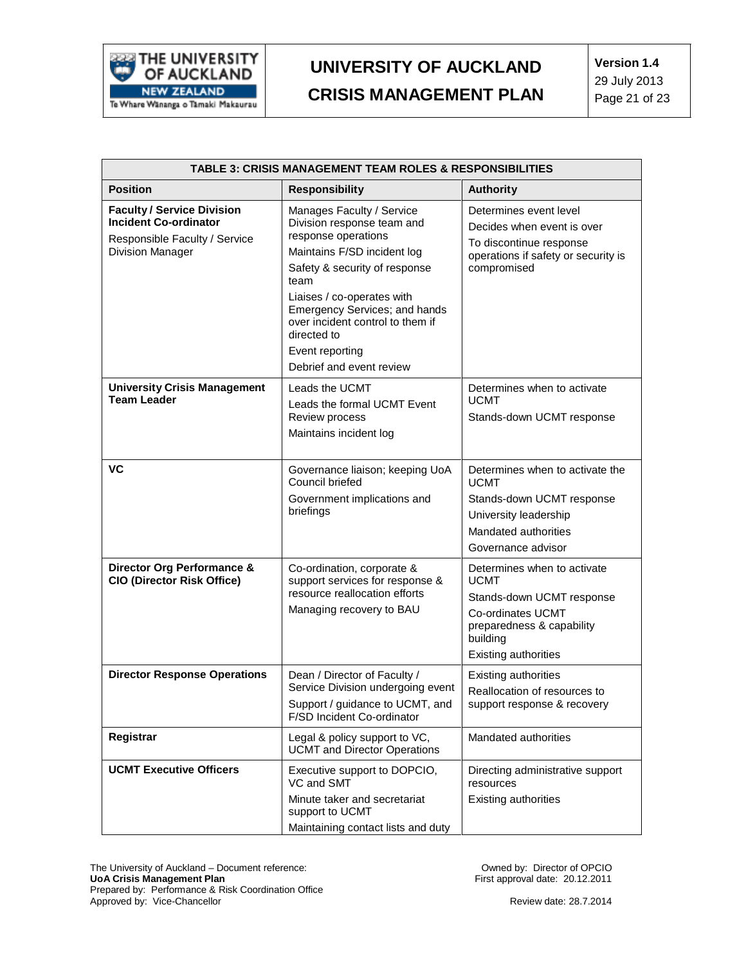

| TABLE 3: CRISIS MANAGEMENT TEAM ROLES & RESPONSIBILITIES                                                                      |                                                                                                                                                                                                                                                                                                                         |                                                                                                                                                                      |  |
|-------------------------------------------------------------------------------------------------------------------------------|-------------------------------------------------------------------------------------------------------------------------------------------------------------------------------------------------------------------------------------------------------------------------------------------------------------------------|----------------------------------------------------------------------------------------------------------------------------------------------------------------------|--|
| <b>Position</b>                                                                                                               | <b>Responsibility</b>                                                                                                                                                                                                                                                                                                   | <b>Authority</b>                                                                                                                                                     |  |
| <b>Faculty / Service Division</b><br><b>Incident Co-ordinator</b><br>Responsible Faculty / Service<br><b>Division Manager</b> | Manages Faculty / Service<br>Division response team and<br>response operations<br>Maintains F/SD incident log<br>Safety & security of response<br>team<br>Liaises / co-operates with<br>Emergency Services; and hands<br>over incident control to them if<br>directed to<br>Event reporting<br>Debrief and event review | Determines event level<br>Decides when event is over<br>To discontinue response<br>operations if safety or security is<br>compromised                                |  |
| <b>University Crisis Management</b><br><b>Team Leader</b>                                                                     | Leads the UCMT<br>Leads the formal UCMT Event<br>Review process<br>Maintains incident log                                                                                                                                                                                                                               | Determines when to activate<br><b>UCMT</b><br>Stands-down UCMT response                                                                                              |  |
| <b>VC</b>                                                                                                                     | Governance liaison; keeping UoA<br>Council briefed<br>Government implications and<br>briefings                                                                                                                                                                                                                          | Determines when to activate the<br><b>UCMT</b><br>Stands-down UCMT response<br>University leadership<br>Mandated authorities<br>Governance advisor                   |  |
| Director Org Performance &<br><b>CIO (Director Risk Office)</b>                                                               | Co-ordination, corporate &<br>support services for response &<br>resource reallocation efforts<br>Managing recovery to BAU                                                                                                                                                                                              | Determines when to activate<br><b>UCMT</b><br>Stands-down UCMT response<br>Co-ordinates UCMT<br>preparedness & capability<br>building<br><b>Existing authorities</b> |  |
| <b>Director Response Operations</b>                                                                                           | Dean / Director of Faculty /<br>Service Division undergoing event<br>Support / guidance to UCMT, and<br>F/SD Incident Co-ordinator                                                                                                                                                                                      | Existing authorities<br>Reallocation of resources to<br>support response & recovery                                                                                  |  |
| Registrar                                                                                                                     | Legal & policy support to VC,<br><b>UCMT</b> and Director Operations                                                                                                                                                                                                                                                    | Mandated authorities                                                                                                                                                 |  |
| <b>UCMT Executive Officers</b>                                                                                                | Executive support to DOPCIO,<br>VC and SMT<br>Minute taker and secretariat<br>support to UCMT<br>Maintaining contact lists and duty                                                                                                                                                                                     | Directing administrative support<br>resources<br><b>Existing authorities</b>                                                                                         |  |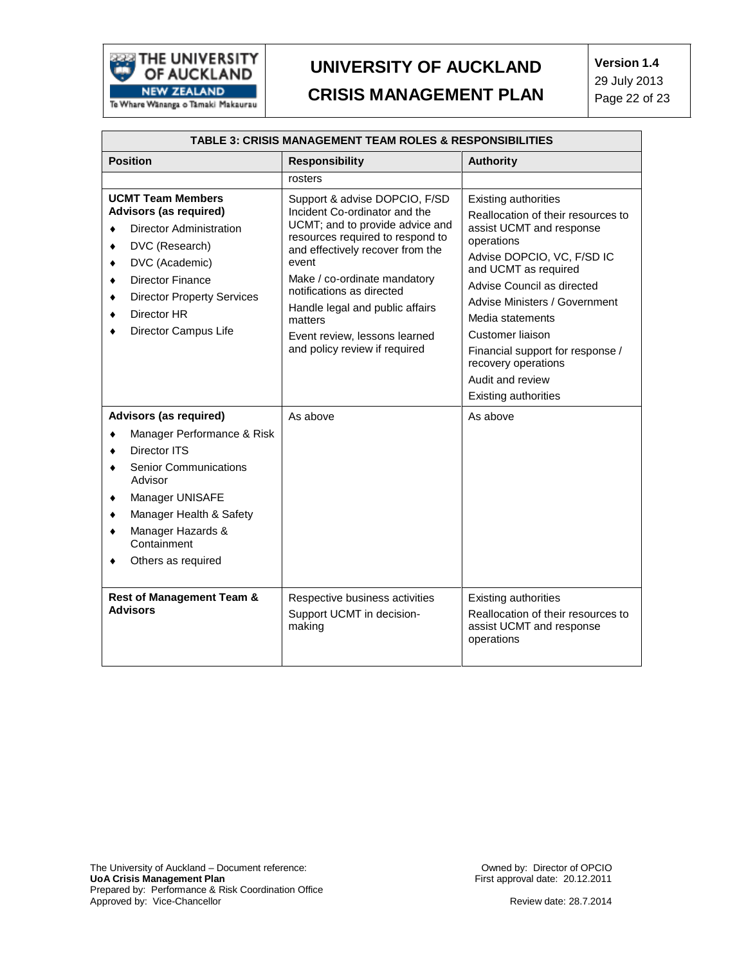

| <b>TABLE 3: CRISIS MANAGEMENT TEAM ROLES &amp; RESPONSIBILITIES</b>                                                                                                                                                                                                                                                                                                                                                                                        |                                                                                                                                                                                                                                                                                                                                                                             |                                                                                                                                                                                                                                                                                                                                                                                             |  |
|------------------------------------------------------------------------------------------------------------------------------------------------------------------------------------------------------------------------------------------------------------------------------------------------------------------------------------------------------------------------------------------------------------------------------------------------------------|-----------------------------------------------------------------------------------------------------------------------------------------------------------------------------------------------------------------------------------------------------------------------------------------------------------------------------------------------------------------------------|---------------------------------------------------------------------------------------------------------------------------------------------------------------------------------------------------------------------------------------------------------------------------------------------------------------------------------------------------------------------------------------------|--|
| <b>Position</b>                                                                                                                                                                                                                                                                                                                                                                                                                                            | <b>Responsibility</b>                                                                                                                                                                                                                                                                                                                                                       | <b>Authority</b>                                                                                                                                                                                                                                                                                                                                                                            |  |
|                                                                                                                                                                                                                                                                                                                                                                                                                                                            | rosters                                                                                                                                                                                                                                                                                                                                                                     |                                                                                                                                                                                                                                                                                                                                                                                             |  |
| <b>UCMT Team Members</b><br>Advisors (as required)<br><b>Director Administration</b><br>DVC (Research)<br>DVC (Academic)<br><b>Director Finance</b><br><b>Director Property Services</b><br>Director HR<br>Director Campus Life<br>Advisors (as required)<br>Manager Performance & Risk<br>Director ITS<br><b>Senior Communications</b><br>Advisor<br>Manager UNISAFE<br>Manager Health & Safety<br>Manager Hazards &<br>Containment<br>Others as required | Support & advise DOPCIO, F/SD<br>Incident Co-ordinator and the<br>UCMT; and to provide advice and<br>resources required to respond to<br>and effectively recover from the<br>event<br>Make / co-ordinate mandatory<br>notifications as directed<br>Handle legal and public affairs<br>matters<br>Event review. lessons learned<br>and policy review if required<br>As above | <b>Existing authorities</b><br>Reallocation of their resources to<br>assist UCMT and response<br>operations<br>Advise DOPCIO, VC, F/SD IC<br>and UCMT as required<br>Advise Council as directed<br>Advise Ministers / Government<br>Media statements<br>Customer liaison<br>Financial support for response /<br>recovery operations<br>Audit and review<br>Existing authorities<br>As above |  |
| <b>Rest of Management Team &amp;</b><br><b>Advisors</b>                                                                                                                                                                                                                                                                                                                                                                                                    | Respective business activities<br>Support UCMT in decision-<br>making                                                                                                                                                                                                                                                                                                       | <b>Existing authorities</b><br>Reallocation of their resources to<br>assist UCMT and response<br>operations                                                                                                                                                                                                                                                                                 |  |